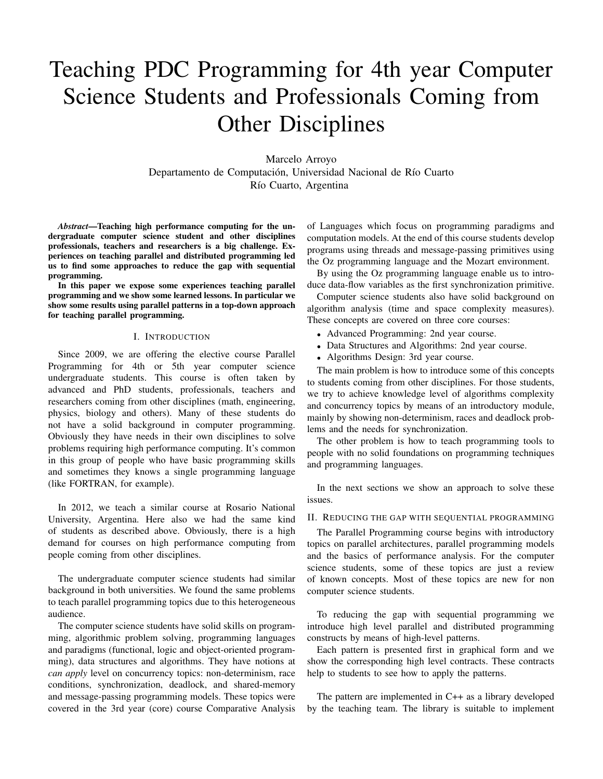# Teaching PDC Programming for 4th year Computer Science Students and Professionals Coming from Other Disciplines

Marcelo Arroyo Departamento de Computación, Universidad Nacional de Río Cuarto Río Cuarto, Argentina

*Abstract*—Teaching high performance computing for the undergraduate computer science student and other disciplines professionals, teachers and researchers is a big challenge. Experiences on teaching parallel and distributed programming led us to find some approaches to reduce the gap with sequential programming.

In this paper we expose some experiences teaching parallel programming and we show some learned lessons. In particular we show some results using parallel patterns in a top-down approach for teaching parallel programming.

#### I. INTRODUCTION

Since 2009, we are offering the elective course Parallel Programming for 4th or 5th year computer science undergraduate students. This course is often taken by advanced and PhD students, professionals, teachers and researchers coming from other disciplines (math, engineering, physics, biology and others). Many of these students do not have a solid background in computer programming. Obviously they have needs in their own disciplines to solve problems requiring high performance computing. It's common in this group of people who have basic programming skills and sometimes they knows a single programming language (like FORTRAN, for example).

In 2012, we teach a similar course at Rosario National University, Argentina. Here also we had the same kind of students as described above. Obviously, there is a high demand for courses on high performance computing from people coming from other disciplines.

The undergraduate computer science students had similar background in both universities. We found the same problems to teach parallel programming topics due to this heterogeneous audience.

The computer science students have solid skills on programming, algorithmic problem solving, programming languages and paradigms (functional, logic and object-oriented programming), data structures and algorithms. They have notions at *can apply* level on concurrency topics: non-determinism, race conditions, synchronization, deadlock, and shared-memory and message-passing programming models. These topics were covered in the 3rd year (core) course Comparative Analysis of Languages which focus on programming paradigms and computation models. At the end of this course students develop programs using threads and message-passing primitives using the Oz programming language and the Mozart environment.

By using the Oz programming language enable us to introduce data-flow variables as the first synchronization primitive.

Computer science students also have solid background on algorithm analysis (time and space complexity measures). These concepts are covered on three core courses:

- Advanced Programming: 2nd year course.
- Data Structures and Algorithms: 2nd year course.
- Algorithms Design: 3rd year course.

The main problem is how to introduce some of this concepts to students coming from other disciplines. For those students, we try to achieve knowledge level of algorithms complexity and concurrency topics by means of an introductory module, mainly by showing non-determinism, races and deadlock problems and the needs for synchronization.

The other problem is how to teach programming tools to people with no solid foundations on programming techniques and programming languages.

In the next sections we show an approach to solve these issues.

## II. REDUCING THE GAP WITH SEQUENTIAL PROGRAMMING

The Parallel Programming course begins with introductory topics on parallel architectures, parallel programming models and the basics of performance analysis. For the computer science students, some of these topics are just a review of known concepts. Most of these topics are new for non computer science students.

To reducing the gap with sequential programming we introduce high level parallel and distributed programming constructs by means of high-level patterns.

Each pattern is presented first in graphical form and we show the corresponding high level contracts. These contracts help to students to see how to apply the patterns.

The pattern are implemented in C++ as a library developed by the teaching team. The library is suitable to implement